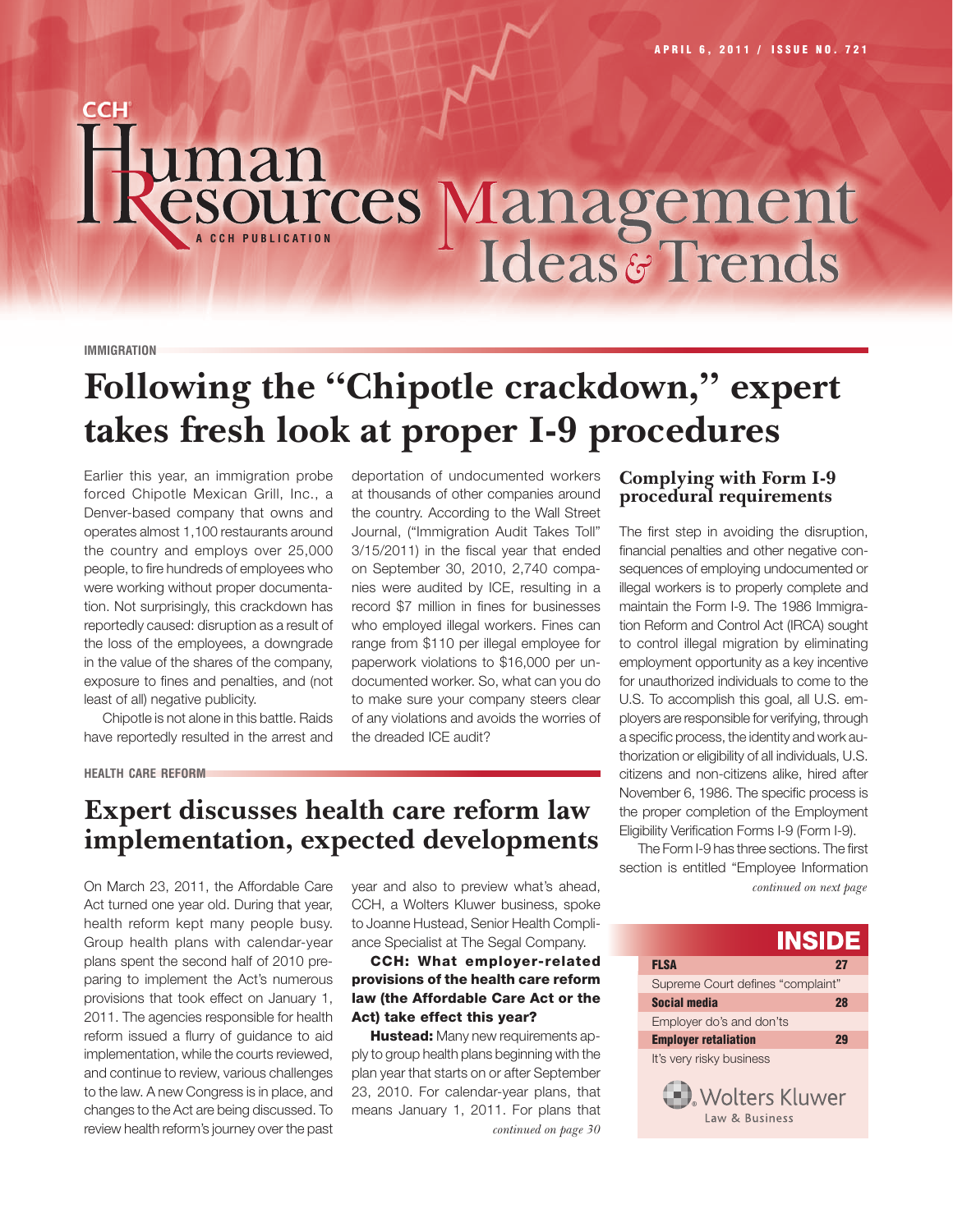# Sources Management

#### **IMMIGRATION**

**CCH** 

# **Following the "Chipotle crackdown," expert takes fresh look at proper I-9 procedures**

Earlier this year, an immigration probe forced Chipotle Mexican Grill, Inc., a Denver-based company that owns and operates almost 1,100 restaurants around the country and employs over 25,000 people, to fire hundreds of employees who were working without proper documentation. Not surprisingly, this crackdown has reportedly caused: disruption as a result of the loss of the employees, a downgrade in the value of the shares of the company, exposure to fines and penalties, and (not least of all) negative publicity.

Chipotle is not alone in this battle. Raids have reportedly resulted in the arrest and deportation of undocumented workers at thousands of other companies around the country. According to the Wall Street Journal, ("Immigration Audit Takes Toll" 3/15/2011) in the fiscal year that ended on September 30, 2010, 2,740 companies were audited by ICE, resulting in a record \$7 million in fines for businesses who employed illegal workers. Fines can range from \$110 per illegal employee for paperwork violations to \$16,000 per undocumented worker. So, what can you do to make sure your company steers clear of any violations and avoids the worries of the dreaded ICE audit?

#### **HEALTH CARE REFORM**

## **Expert discusses health care reform law implementation, expected developments**

On March 23, 2011, the Affordable Care Act turned one year old. During that year, health reform kept many people busy. Group health plans with calendar-year plans spent the second half of 2010 preparing to implement the Act's numerous provisions that took effect on January 1, 2011. The agencies responsible for health reform issued a flurry of guidance to aid implementation, while the courts reviewed, and continue to review, various challenges to the law. A new Congress is in place, and changes to the Act are being discussed. To review health reform's journey over the past

year and also to preview what's ahead, CCH, a Wolters Kluwer business, spoke to Joanne Hustead, Senior Health Compliance Specialist at The Segal Company.

#### CCH: What employer-related provisions of the health care reform law (the Affordable Care Act or the Act) take effect this year?

Hustead: Many new requirements apply to group health plans beginning with the plan year that starts on or after September 23, 2010. For calendar-year plans, that means January 1, 2011. For plans that *continued on page 30*

#### **Complying with Form I-9 procedural requirements**

The first step in avoiding the disruption, financial penalties and other negative consequences of employing undocumented or illegal workers is to properly complete and maintain the Form I-9. The 1986 Immigration Reform and Control Act (IRCA) sought to control illegal migration by eliminating employment opportunity as a key incentive for unauthorized individuals to come to the U.S. To accomplish this goal, all U.S. employers are responsible for verifying, through a specific process, the identity and work authorization or eligibility of all individuals, U.S. citizens and non-citizens alike, hired after November 6, 1986. The specific process is the proper completion of the Employment Eligibility Verification Forms I-9 (Form I-9).

*continued on next page* The Form I-9 has three sections. The first section is entitled "Employee Information

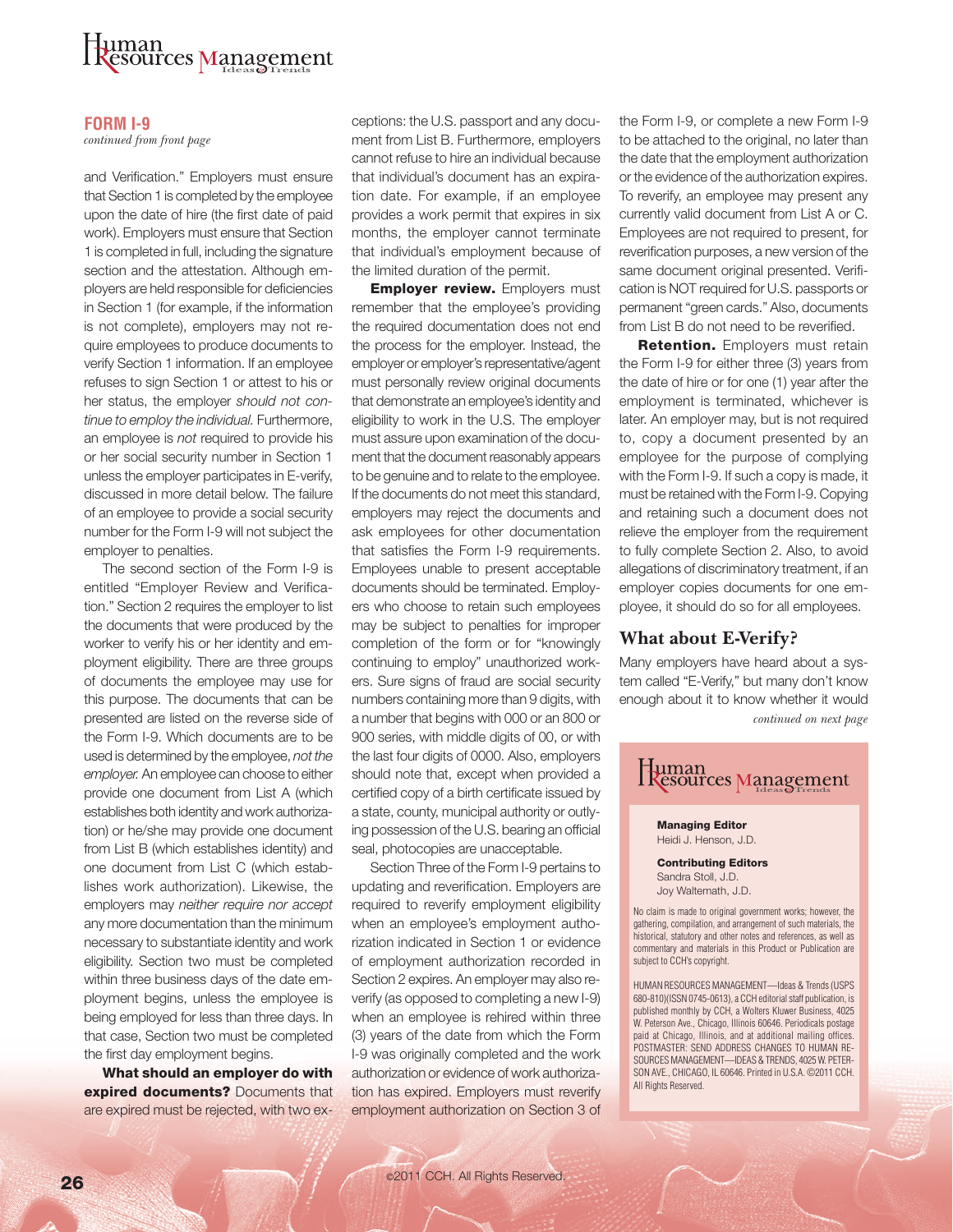# uman<br>**{csources Management**

#### **FORM I-9**

*continued from front page*

and Verification." Employers must ensure that Section 1 is completed by the employee upon the date of hire (the first date of paid work). Employers must ensure that Section 1 is completed in full, including the signature section and the attestation. Although employers are held responsible for deficiencies in Section 1 (for example, if the information is not complete), employers may not require employees to produce documents to verify Section 1 information. If an employee refuses to sign Section 1 or attest to his or her status, the employer *should not continue to employ the individual.* Furthermore, an employee is *not* required to provide his or her social security number in Section 1 unless the employer participates in E-verify, discussed in more detail below. The failure of an employee to provide a social security number for the Form I-9 will not subject the employer to penalties.

The second section of the Form I-9 is entitled "Employer Review and Verification." Section 2 requires the employer to list the documents that were produced by the worker to verify his or her identity and employment eligibility. There are three groups of documents the employee may use for this purpose. The documents that can be presented are listed on the reverse side of the Form I-9. Which documents are to be used is determined by the employee, *not the employer.* An employee can choose to either provide one document from List A (which establishes both identity and work authorization) or he/she may provide one document from List B (which establishes identity) and one document from List C (which establishes work authorization). Likewise, the employers may *neither require nor accept* any more documentation than the minimum necessary to substantiate identity and work eligibility. Section two must be completed within three business days of the date employment begins, unless the employee is being employed for less than three days. In that case, Section two must be completed the first day employment begins.

What should an employer do with expired documents? Documents that are expired must be rejected, with two exceptions: the U.S. passport and any document from List B. Furthermore, employers cannot refuse to hire an individual because that individual's document has an expiration date. For example, if an employee provides a work permit that expires in six months, the employer cannot terminate that individual's employment because of the limited duration of the permit.

**Employer review.** Employers must remember that the employee's providing the required documentation does not end the process for the employer. Instead, the employer or employer's representative/agent must personally review original documents that demonstrate an employee's identity and eligibility to work in the U.S. The employer must assure upon examination of the document that the document reasonably appears to be genuine and to relate to the employee. If the documents do not meet this standard, employers may reject the documents and ask employees for other documentation that satisfies the Form I-9 requirements. Employees unable to present acceptable documents should be terminated. Employers who choose to retain such employees may be subject to penalties for improper completion of the form or for "knowingly continuing to employ" unauthorized workers. Sure signs of fraud are social security numbers containing more than 9 digits, with a number that begins with 000 or an 800 or 900 series, with middle digits of 00, or with the last four digits of 0000. Also, employers should note that, except when provided a certified copy of a birth certificate issued by a state, county, municipal authority or outlying possession of the U.S. bearing an official seal, photocopies are unacceptable.

Section Three of the Form I-9 pertains to updating and reverification. Employers are required to reverify employment eligibility when an employee's employment authorization indicated in Section 1 or evidence of employment authorization recorded in Section 2 expires. An employer may also reverify (as opposed to completing a new I-9) when an employee is rehired within three (3) years of the date from which the Form I-9 was originally completed and the work authorization or evidence of work authorization has expired. Employers must reverify employment authorization on Section 3 of the Form I-9, or complete a new Form I-9 to be attached to the original, no later than the date that the employment authorization or the evidence of the authorization expires. To reverify, an employee may present any currently valid document from List A or C. Employees are not required to present, for reverification purposes, a new version of the same document original presented. Verification is NOT required for U.S. passports or permanent "green cards." Also, documents from List B do not need to be reverified.

**Retention.** Employers must retain the Form I-9 for either three (3) years from the date of hire or for one (1) year after the employment is terminated, whichever is later. An employer may, but is not required to, copy a document presented by an employee for the purpose of complying with the Form I-9. If such a copy is made, it must be retained with the Form I-9. Copying and retaining such a document does not relieve the employer from the requirement to fully complete Section 2. Also, to avoid allegations of discriminatory treatment, if an employer copies documents for one employee, it should do so for all employees.

#### **What about E-Verify?**

Many employers have heard about a system called "E-Verify," but many don't know enough about it to know whether it would *continued on next page*



Managing Editor Heidi J. Henson, J.D.

Contributing Editors Sandra Stoll, J.D. Joy Waltemath, J.D.

No claim is made to original government works; however, the gathering, compilation, and arrangement of such materials, the historical, statutory and other notes and references, as well as commentary and materials in this Product or Publication are subject to CCH's copyright.

HUMAN RESOURCES MANAGEMENT—Ideas & Trends (USPS 680-810)(ISSN 0745-0613), a CCH editorial staff publication, is published monthly by CCH, a Wolters Kluwer Business, 4025 W. Peterson Ave., Chicago, Illinois 60646. Periodicals postage paid at Chicago, Illinois, and at additional mailing offices. POSTMASTER: SEND ADDRESS CHANGES TO HUMAN RE-SOURCES MANAGEMENT—IDEAS & TRENDS, 4025 W. PETER-SON AVE., CHICAGO, IL 60646. Printed in U.S.A. ©2011 CCH. All Rights Reserved.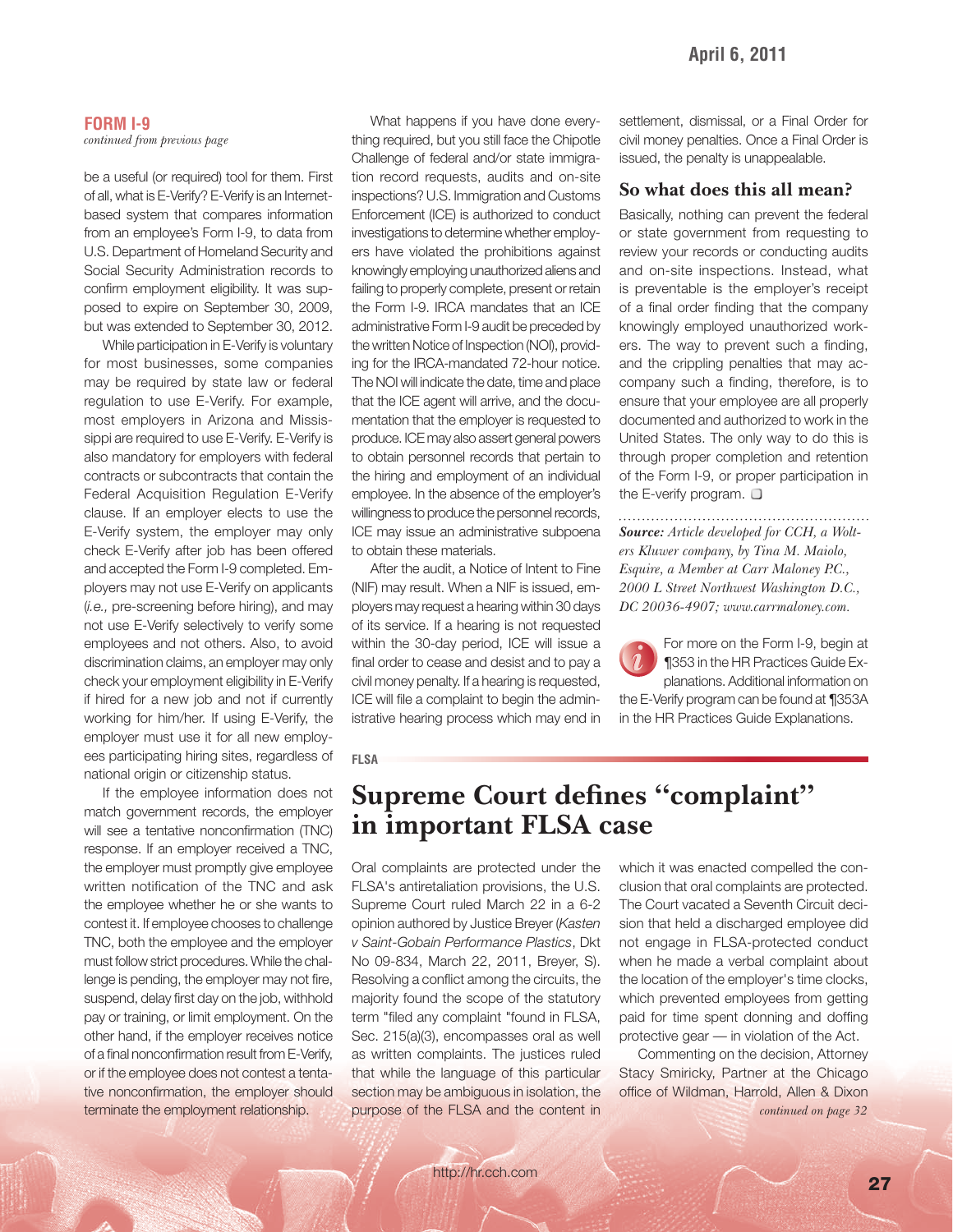#### **FORM I-9** *continued from previous page*

be a useful (or required) tool for them. First of all, what is E-Verify? E-Verify is an Internetbased system that compares information from an employee's Form I-9, to data from U.S. Department of Homeland Security and Social Security Administration records to confirm employment eligibility. It was supposed to expire on September 30, 2009, but was extended to September 30, 2012.

While participation in E-Verify is voluntary for most businesses, some companies may be required by state law or federal regulation to use E-Verify. For example, most employers in Arizona and Mississippi are required to use E-Verify. E-Verify is also mandatory for employers with federal contracts or subcontracts that contain the Federal Acquisition Regulation E-Verify clause. If an employer elects to use the E-Verify system, the employer may only check E-Verify after job has been offered and accepted the Form I-9 completed. Employers may not use E-Verify on applicants (*i.e.*, pre-screening before hiring), and may not use E-Verify selectively to verify some employees and not others. Also, to avoid discrimination claims, an employer may only check your employment eligibility in E-Verify if hired for a new job and not if currently working for him/her. If using E-Verify, the employer must use it for all new employees participating hiring sites, regardless of national origin or citizenship status.

If the employee information does not match government records, the employer will see a tentative nonconfirmation (TNC) response. If an employer received a TNC, the employer must promptly give employee written notification of the TNC and ask the employee whether he or she wants to contest it. If employee chooses to challenge TNC, both the employee and the employer must follow strict procedures. While the challenge is pending, the employer may not fire, suspend, delay first day on the job, withhold pay or training, or limit employment. On the other hand, if the employer receives notice of a final nonconfirmation result from E-Verify, or if the employee does not contest a tentative nonconfirmation, the employer should terminate the employment relationship.

What happens if you have done everything required, but you still face the Chipotle Challenge of federal and/or state immigration record requests, audits and on-site inspections? U.S. Immigration and Customs Enforcement (ICE) is authorized to conduct investigations to determine whether employers have violated the prohibitions against knowingly employing unauthorized aliens and failing to properly complete, present or retain the Form I-9. IRCA mandates that an ICE administrative Form I-9 audit be preceded by the written Notice of Inspection (NOI), providing for the IRCA-mandated 72-hour notice. The NOI will indicate the date, time and place that the ICE agent will arrive, and the documentation that the employer is requested to produce. ICE may also assert general powers to obtain personnel records that pertain to the hiring and employment of an individual employee. In the absence of the employer's willingness to produce the personnel records, ICE may issue an administrative subpoena to obtain these materials.

After the audit, a Notice of Intent to Fine (NIF) may result. When a NIF is issued, employers may request a hearing within 30 days of its service. If a hearing is not requested within the 30-day period, ICE will issue a final order to cease and desist and to pay a civil money penalty. If a hearing is requested, ICE will file a complaint to begin the administrative hearing process which may end in settlement, dismissal, or a Final Order for civil money penalties. Once a Final Order is issued, the penalty is unappealable.

#### **So what does this all mean?**

Basically, nothing can prevent the federal or state government from requesting to review your records or conducting audits and on-site inspections. Instead, what is preventable is the employer's receipt of a final order finding that the company knowingly employed unauthorized workers. The way to prevent such a finding. and the crippling penalties that may accompany such a finding, therefore, is to ensure that your employee are all properly documented and authorized to work in the United States. The only way to do this is through proper completion and retention of the Form I-9, or proper participation in the E-verify program.  $\Box$ 

#### *Source: Article developed for CCH, a Wolt-*

*ers Kluwer company, by Tina M. Maiolo, Esquire, a Member at Carr Maloney P.C., 2000 L Street Northwest Washington D.C., DC 20036-4907; www.carrmaloney.com.* 

For more on the Form I-9, begin at ¶353 in the HR Practices Guide Explanations. Additional information on the E-Verify program can be found at ¶353A in the HR Practices Guide Explanations.

#### **FLSA**

### **Supreme Court defines "complaint" in important FLSA case**

Oral complaints are protected under the FLSA's antiretaliation provisions, the U.S. Supreme Court ruled March 22 in a 6-2 opinion authored by Justice Breyer (*Kasten v Saint-Gobain Performance Plastics*, Dkt No 09-834, March 22, 2011, Breyer, S). Resolving a conflict among the circuits, the majority found the scope of the statutory term "filed any complaint "found in FLSA, Sec. 215(a)(3), encompasses oral as well as written complaints. The justices ruled that while the language of this particular section may be ambiguous in isolation, the which it was enacted compelled the conclusion that oral complaints are protected. The Court vacated a Seventh Circuit decision that held a discharged employee did not engage in FLSA-protected conduct when he made a verbal complaint about the location of the employer's time clocks, which prevented employees from getting paid for time spent donning and doffing protective gear — in violation of the Act.

Commenting on the decision, Attorney Stacy Smiricky, Partner at the Chicago office of Wildman, Harrold, Allen & Dixon purpose of the FLSA and the content in *continued on page 32*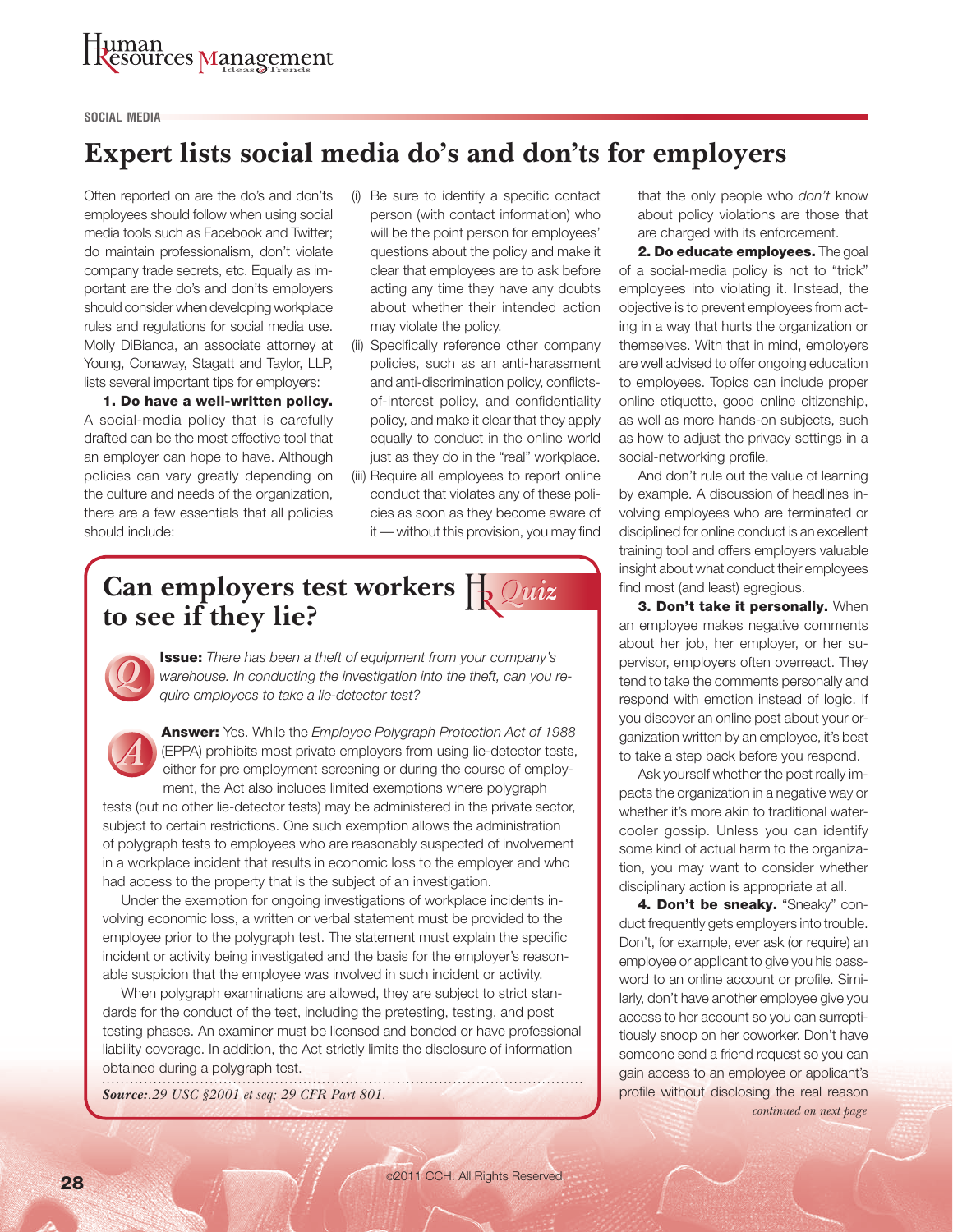# Juman<br>Resources Management

#### **SOCIAL MEDIA**

## **Expert lists social media do's and don'ts for employers**

Often reported on are the do's and don'ts employees should follow when using social media tools such as Facebook and Twitter; do maintain professionalism, don't violate company trade secrets, etc. Equally as important are the do's and don'ts employers should consider when developing workplace rules and regulations for social media use. Molly DiBianca, an associate attorney at Young, Conaway, Stagatt and Taylor, LLP, lists several important tips for employers:

1. Do have a well-written policy. A social-media policy that is carefully drafted can be the most effective tool that an employer can hope to have. Although policies can vary greatly depending on the culture and needs of the organization, there are a few essentials that all policies should include:

- (i) Be sure to identify a specific contact person (with contact information) who will be the point person for employees' questions about the policy and make it clear that employees are to ask before acting any time they have any doubts about whether their intended action may violate the policy.
- (ii) Specifically reference other company policies, such as an anti-harassment and anti-discrimination policy, conflictsof-interest policy, and confidentiality policy, and make it clear that they apply equally to conduct in the online world just as they do in the "real" workplace.
- (iii) Require all employees to report online conduct that violates any of these policies as soon as they become aware of it - without this provision, you may find

## **Can employers test workers to see if they lie?**



Issue: *There has been a theft of equipment from your company's warehouse. In conducting the investigation into the theft, can you require employees to take a lie-detector test?*

Answer: Yes. While the *Employee Polygraph Protection Act of 1988* (EPPA) prohibits most private employers from using lie-detector tests, either for pre employment screening or during the course of employment, the Act also includes limited exemptions where polygraph

tests (but no other lie-detector tests) may be administered in the private sector, subject to certain restrictions. One such exemption allows the administration of polygraph tests to employees who are reasonably suspected of involvement in a workplace incident that results in economic loss to the employer and who had access to the property that is the subject of an investigation.

Under the exemption for ongoing investigations of workplace incidents involving economic loss, a written or verbal statement must be provided to the employee prior to the polygraph test. The statement must explain the specific incident or activity being investigated and the basis for the employer's reasonable suspicion that the employee was involved in such incident or activity.

When polygraph examinations are allowed, they are subject to strict standards for the conduct of the test, including the pretesting, testing, and post testing phases. An examiner must be licensed and bonded or have professional liability coverage. In addition, the Act strictly limits the disclosure of information obtained during a polygraph test.

*Source:.29 USC §2001 et seq; 29 CFR Part 801.* 

that the only people who *don't* know about policy violations are those that are charged with its enforcement.

2. Do educate employees. The goal of a social-media policy is not to "trick" employees into violating it. Instead, the objective is to prevent employees from acting in a way that hurts the organization or themselves. With that in mind, employers are well advised to offer ongoing education to employees. Topics can include proper online etiquette, good online citizenship, as well as more hands-on subjects, such as how to adjust the privacy settings in a social-networking profile.

And don't rule out the value of learning by example. A discussion of headlines involving employees who are terminated or disciplined for online conduct is an excellent training tool and offers employers valuable insight about what conduct their employees find most (and least) egregious.

3. Don't take it personally. When an employee makes negative comments about her job, her employer, or her supervisor, employers often overreact. They tend to take the comments personally and respond with emotion instead of logic. If you discover an online post about your organization written by an employee, it's best to take a step back before you respond.

Ask yourself whether the post really impacts the organization in a negative way or whether it's more akin to traditional watercooler gossip. Unless you can identify some kind of actual harm to the organization, you may want to consider whether disciplinary action is appropriate at all.

4. Don't be sneaky. "Sneaky" conduct frequently gets employers into trouble. Don't, for example, ever ask (or require) an employee or applicant to give you his password to an online account or profile. Similarly, don't have another employee give you access to her account so you can surreptitiously snoop on her coworker. Don't have someone send a friend request so you can gain access to an employee or applicant's profile without disclosing the real reason *continued on next page*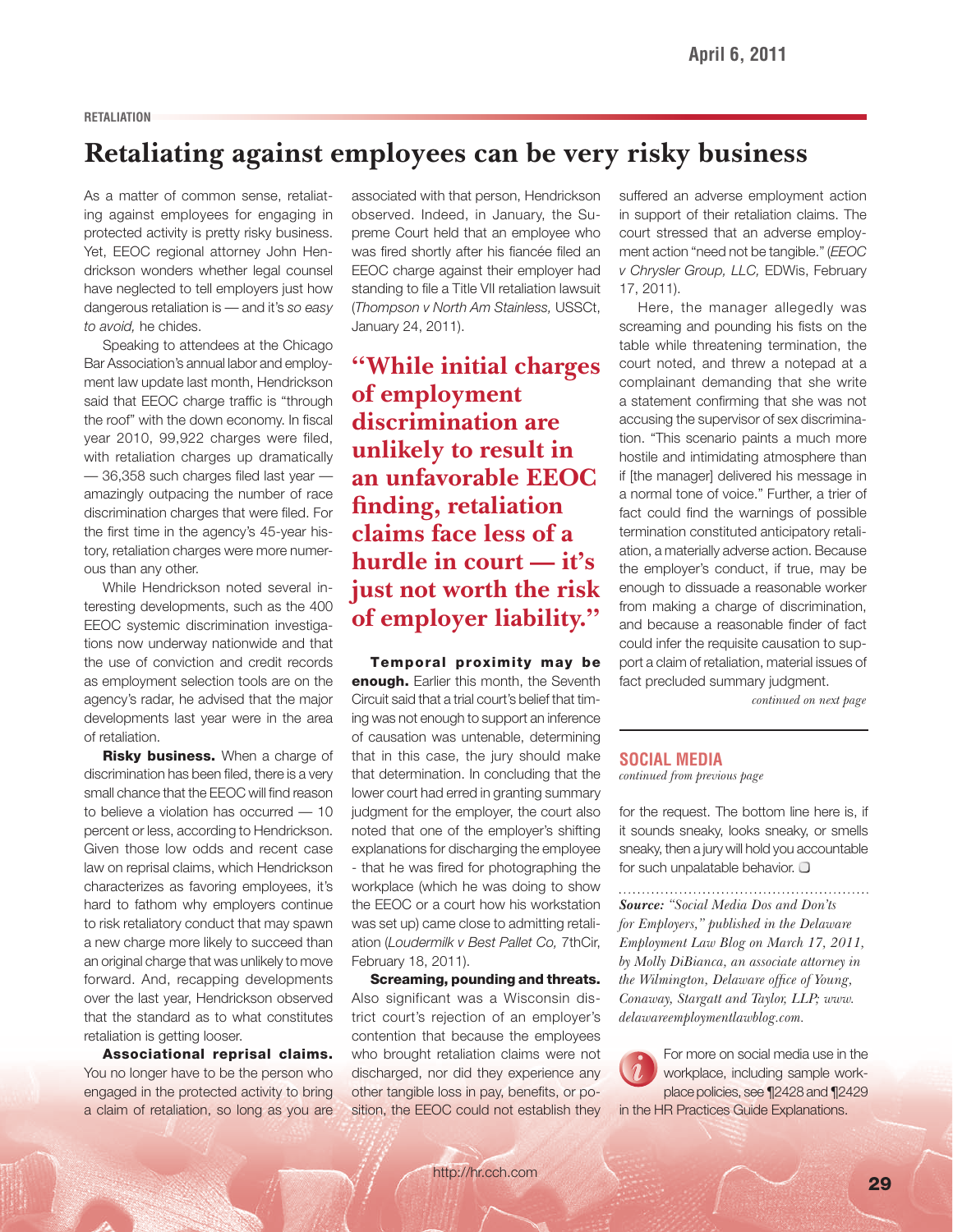#### **RETALIATION**

## **Retaliating against employees can be very risky business**

As a matter of common sense, retaliating against employees for engaging in protected activity is pretty risky business. Yet, EEOC regional attorney John Hendrickson wonders whether legal counsel have neglected to tell employers just how dangerous retaliation is — and it's *so easy to avoid,* he chides.

Speaking to attendees at the Chicago Bar Association's annual labor and employment law update last month, Hendrickson said that EEOC charge traffic is "through the roof" with the down economy. In fiscal year 2010, 99,922 charges were filed, with retaliation charges up dramatically  $-$  36,358 such charges filed last year  $$ amazingly outpacing the number of race discrimination charges that were filed. For the first time in the agency's 45-year history, retaliation charges were more numerous than any other.

While Hendrickson noted several interesting developments, such as the 400 EEOC systemic discrimination investigations now underway nationwide and that the use of conviction and credit records as employment selection tools are on the agency's radar, he advised that the major developments last year were in the area of retaliation.

Risky business. When a charge of discrimination has been filed, there is a very small chance that the EEOC will find reason to believe a violation has occurred — 10 percent or less, according to Hendrickson. Given those low odds and recent case law on reprisal claims, which Hendrickson characterizes as favoring employees, it's hard to fathom why employers continue to risk retaliatory conduct that may spawn a new charge more likely to succeed than an original charge that was unlikely to move forward. And, recapping developments over the last year, Hendrickson observed that the standard as to what constitutes retaliation is getting looser.

Associational reprisal claims. You no longer have to be the person who engaged in the protected activity to bring a claim of retaliation, so long as you are associated with that person, Hendrickson observed. Indeed, in January, the Supreme Court held that an employee who was fired shortly after his fiancée filed an EEOC charge against their employer had standing to file a Title VII retaliation lawsuit ( *Thompson v North Am Stainless,* USSCt, January 24, 2011).

**"While initial charges of employment discrimination are unlikely to result in an unfavorable EEOC fi nding, retaliation claims face less of a hurdle in court — it's just not worth the risk of employer liability. "**

Temporal proximity may be **enough.** Earlier this month, the Seventh Circuit said that a trial court's belief that timing was not enough to support an inference of causation was untenable, determining that in this case, the jury should make that determination. In concluding that the lower court had erred in granting summary judgment for the employer, the court also noted that one of the employer's shifting explanations for discharging the employee - that he was fired for photographing the workplace (which he was doing to show the EEOC or a court how his workstation was set up) came close to admitting retaliation (Loudermilk v Best Pallet Co, 7thCir, February 18, 2011).

Screaming, pounding and threats. Also significant was a Wisconsin district court's rejection of an employer's contention that because the employees who brought retaliation claims were not discharged, nor did they experience any other tangible loss in pay, benefits, or position, the EEOC could not establish they suffered an adverse employment action in support of their retaliation claims. The court stressed that an adverse employment action "need not be tangible." (*EEOC v Chrysler Group, LLC,* EDWis, February 17, 2011).

Here, the manager allegedly was screaming and pounding his fists on the table while threatening termination, the court noted, and threw a notepad at a complainant demanding that she write a statement confirming that she was not accusing the supervisor of sex discrimination. "This scenario paints a much more hostile and intimidating atmosphere than if [the manager] delivered his message in a normal tone of voice." Further, a trier of fact could find the warnings of possible termination constituted anticipatory retaliation, a materially adverse action. Because the employer's conduct, if true, may be enough to dissuade a reasonable worker from making a charge of discrimination, and because a reasonable finder of fact could infer the requisite causation to support a claim of retaliation, material issues of fact precluded summary judgment.

*continued on next page*

#### **SOCIAL MEDIA** *continued from previous page*

for the request. The bottom line here is, if it sounds sneaky, looks sneaky, or smells sneaky, then a jury will hold you accountable for such unpalatable behavior.  $\Box$ 

*Source: "Social Media Dos and Don'ts for Employers," published in the Delaware Employment Law Blog on March 17, 2011, by Molly DiBianca, an associate attorney in the Wilmington, Delaware office of Young, Conaway, Stargatt and Taylor, LLP; www. delawareemploymentlawblog.com.* 

For more on social media use in the workplace, including sample workplace policies, see ¶2428 and ¶2429 in the HR Practices Guide Explanations.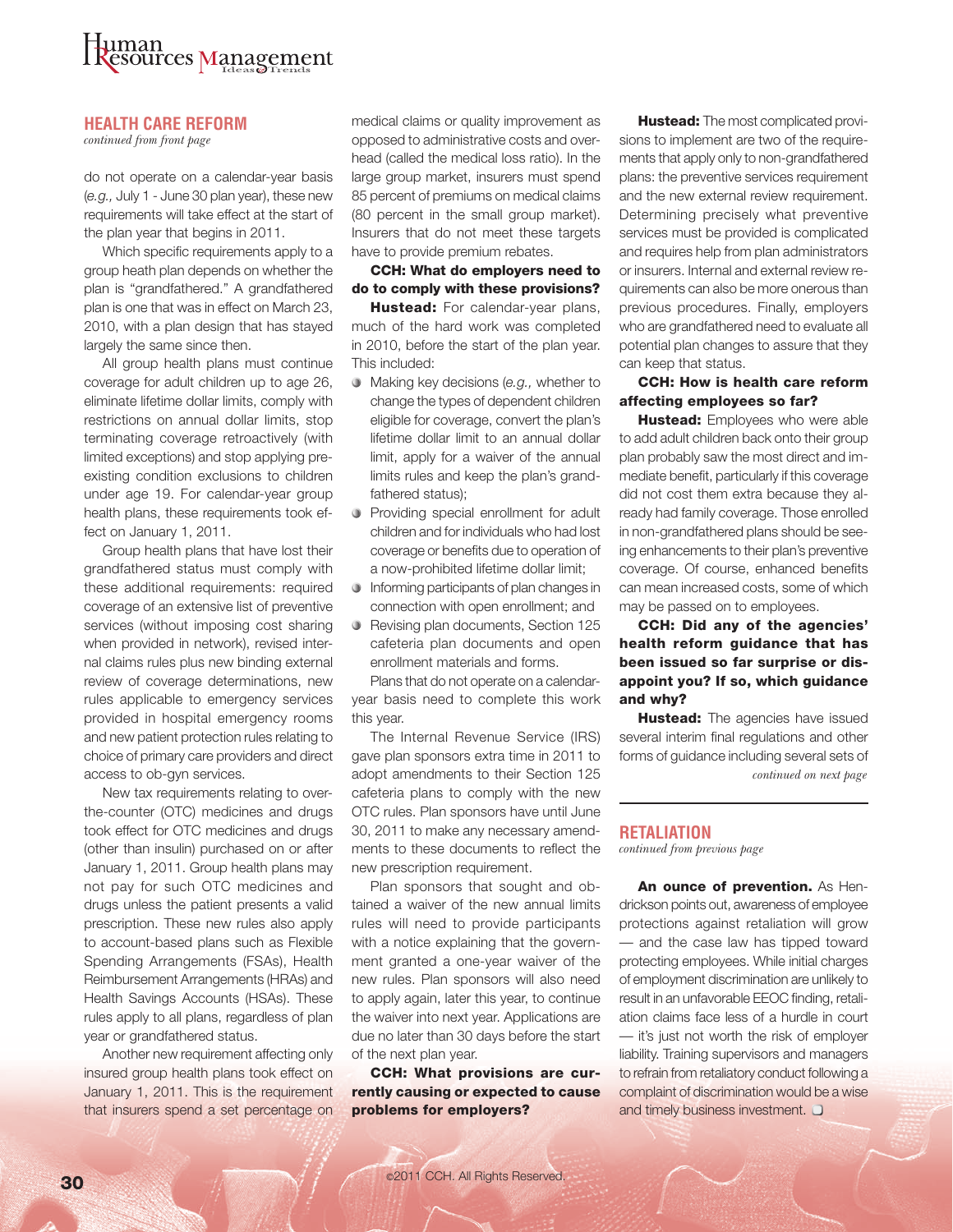

#### **HEALTH CARE REFORM**

*continued from front page*

do not operate on a calendar-year basis (e.g., July 1 - June 30 plan year), these new requirements will take effect at the start of the plan year that begins in 2011.

Which specific requirements apply to a group heath plan depends on whether the plan is "grandfathered." A grandfathered plan is one that was in effect on March 23, 2010, with a plan design that has stayed largely the same since then.

All group health plans must continue coverage for adult children up to age 26, eliminate lifetime dollar limits, comply with restrictions on annual dollar limits, stop terminating coverage retroactively (with limited exceptions) and stop applying preexisting condition exclusions to children under age 19. For calendar-year group health plans, these requirements took effect on January 1, 2011.

Group health plans that have lost their grandfathered status must comply with these additional requirements: required coverage of an extensive list of preventive services (without imposing cost sharing when provided in network), revised internal claims rules plus new binding external review of coverage determinations, new rules applicable to emergency services provided in hospital emergency rooms and new patient protection rules relating to choice of primary care providers and direct access to ob-gyn services.

New tax requirements relating to overthe-counter (OTC) medicines and drugs took effect for OTC medicines and drugs (other than insulin) purchased on or after January 1, 2011. Group health plans may not pay for such OTC medicines and drugs unless the patient presents a valid prescription. These new rules also apply to account-based plans such as Flexible Spending Arrangements (FSAs), Health Reimbursement Arrangements (HRAs) and Health Savings Accounts (HSAs). These rules apply to all plans, regardless of plan year or grandfathered status.

Another new requirement affecting only insured group health plans took effect on January 1, 2011. This is the requirement that insurers spend a set percentage on

medical claims or quality improvement as opposed to administrative costs and overhead (called the medical loss ratio). In the large group market, insurers must spend 85 percent of premiums on medical claims (80 percent in the small group market). Insurers that do not meet these targets have to provide premium rebates.

#### CCH: What do employers need to do to comply with these provisions?

Hustead: For calendar-year plans, much of the hard work was completed in 2010, before the start of the plan year. This included:

- **Making key decisions (e.g., whether to** change the types of dependent children eligible for coverage, convert the plan's lifetime dollar limit to an annual dollar limit, apply for a waiver of the annual limits rules and keep the plan's grandfathered status);
- **•** Providing special enrollment for adult children and for individuals who had lost coverage or benefits due to operation of a now-prohibited lifetime dollar limit;
- **Informing participants of plan changes in** connection with open enrollment; and
- Revising plan documents, Section 125 cafeteria plan documents and open enrollment materials and forms.

Plans that do not operate on a calendaryear basis need to complete this work this year.

The Internal Revenue Service (IRS) gave plan sponsors extra time in 2011 to adopt amendments to their Section 125 cafeteria plans to comply with the new OTC rules. Plan sponsors have until June 30, 2011 to make any necessary amendments to these documents to reflect the new prescription requirement.

Plan sponsors that sought and obtained a waiver of the new annual limits rules will need to provide participants with a notice explaining that the government granted a one-year waiver of the new rules. Plan sponsors will also need to apply again, later this year, to continue the waiver into next year. Applications are due no later than 30 days before the start of the next plan year.

CCH: What provisions are currently causing or expected to cause problems for employers?

Hustead: The most complicated provisions to implement are two of the requirements that apply only to non-grandfathered plans: the preventive services requirement and the new external review requirement. Determining precisely what preventive services must be provided is complicated and requires help from plan administrators or insurers. Internal and external review requirements can also be more onerous than previous procedures. Finally, employers who are grandfathered need to evaluate all potential plan changes to assure that they can keep that status.

#### CCH: How is health care reform affecting employees so far?

Hustead: Employees who were able to add adult children back onto their group plan probably saw the most direct and immediate benefit, particularly if this coverage did not cost them extra because they already had family coverage. Those enrolled in non-grandfathered plans should be seeing enhancements to their plan's preventive coverage. Of course, enhanced benefits can mean increased costs, some of which may be passed on to employees.

CCH: Did any of the agencies' health reform guidance that has been issued so far surprise or disappoint you? If so, which guidance and why?

Hustead: The agencies have issued several interim final regulations and other forms of guidance including several sets of *continued on next page*

#### **RETALIATION**

*continued from previous page*

An ounce of prevention. As Hendrickson points out, awareness of employee protections against retaliation will grow — and the case law has tipped toward protecting employees. While initial charges of employment discrimination are unlikely to result in an unfavorable EEOC finding, retaliation claims face less of a hurdle in court — it's just not worth the risk of employer liability. Training supervisors and managers to refrain from retaliatory conduct following a complaint of discrimination would be a wise and timely business investment.  $\Box$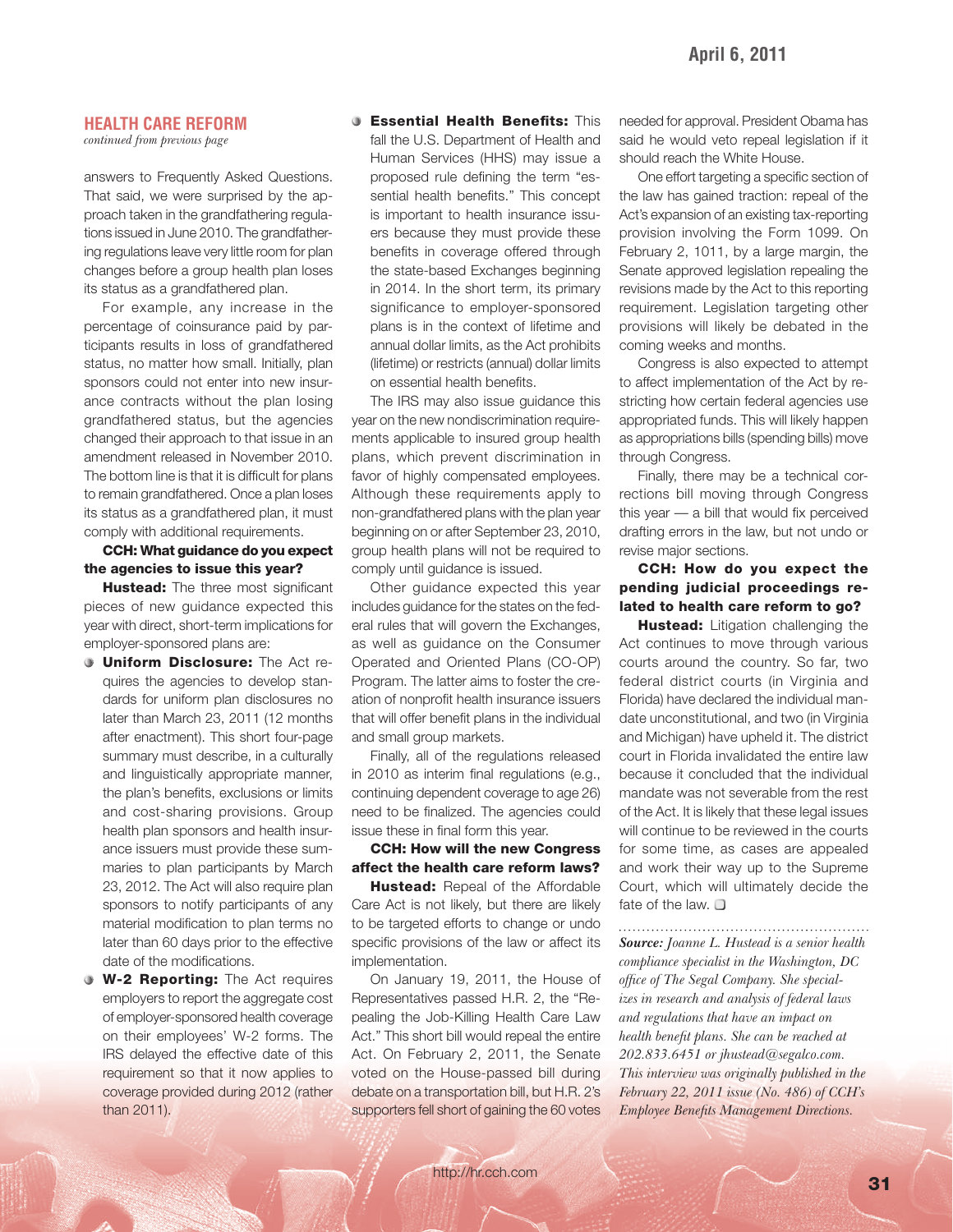#### **HEALTH CARE REFORM**

*continued from previous page*

answers to Frequently Asked Questions. That said, we were surprised by the approach taken in the grandfathering regulations issued in June 2010. The grandfathering regulations leave very little room for plan changes before a group health plan loses its status as a grandfathered plan.

For example, any increase in the percentage of coinsurance paid by participants results in loss of grandfathered status, no matter how small. Initially, plan sponsors could not enter into new insurance contracts without the plan losing grandfathered status, but the agencies changed their approach to that issue in an amendment released in November 2010. The bottom line is that it is difficult for plans to remain grandfathered. Once a plan loses its status as a grandfathered plan, it must comply with additional requirements.

CCH: What guidance do you expect the agencies to issue this year?

**Hustead:** The three most significant pieces of new guidance expected this year with direct, short-term implications for employer-sponsored plans are:

- **Uniform Disclosure:** The Act requires the agencies to develop standards for uniform plan disclosures no later than March 23, 2011 (12 months after enactment). This short four-page summary must describe, in a culturally and linguistically appropriate manner, the plan's benefits, exclusions or limits and cost-sharing provisions. Group health plan sponsors and health insurance issuers must provide these summaries to plan participants by March 23, 2012. The Act will also require plan sponsors to notify participants of any material modification to plan terms no later than 60 days prior to the effective date of the modifications.
- **W-2 Reporting:** The Act requires employers to report the aggregate cost of employer-sponsored health coverage on their employees' W-2 forms. The IRS delayed the effective date of this requirement so that it now applies to coverage provided during 2012 (rather than 2011).

#### **Co.** Essential Health Benefits: This

fall the U.S. Department of Health and Human Services (HHS) may issue a proposed rule defining the term "essential health benefits." This concept is important to health insurance issuers because they must provide these benefits in coverage offered through the state-based Exchanges beginning in 2014. In the short term, its primary significance to employer-sponsored plans is in the context of lifetime and annual dollar limits, as the Act prohibits (lifetime) or restricts (annual) dollar limits on essential health benefits.

The IRS may also issue guidance this year on the new nondiscrimination requirements applicable to insured group health plans, which prevent discrimination in favor of highly compensated employees. Although these requirements apply to non-grandfathered plans with the plan year beginning on or after September 23, 2010, group health plans will not be required to comply until guidance is issued.

Other guidance expected this year includes guidance for the states on the federal rules that will govern the Exchanges, as well as guidance on the Consumer Operated and Oriented Plans (CO-OP) Program. The latter aims to foster the creation of nonprofit health insurance issuers that will offer benefit plans in the individual and small group markets.

Finally, all of the regulations released in 2010 as interim final regulations (e.g., continuing dependent coverage to age 26) need to be finalized. The agencies could issue these in final form this year.

#### CCH: How will the new Congress affect the health care reform laws?

Hustead: Repeal of the Affordable Care Act is not likely, but there are likely to be targeted efforts to change or undo specific provisions of the law or affect its implementation.

On January 19, 2011, the House of Representatives passed H.R. 2, the "Repealing the Job-Killing Health Care Law Act." This short bill would repeal the entire Act. On February 2, 2011, the Senate voted on the House-passed bill during debate on a transportation bill, but H.R. 2's supporters fell short of gaining the 60 votes needed for approval. President Obama has said he would veto repeal legislation if it should reach the White House.

One effort targeting a specific section of the law has gained traction: repeal of the Act's expansion of an existing tax-reporting provision involving the Form 1099. On February 2, 1011, by a large margin, the Senate approved legislation repealing the revisions made by the Act to this reporting requirement. Legislation targeting other provisions will likely be debated in the coming weeks and months.

Congress is also expected to attempt to affect implementation of the Act by restricting how certain federal agencies use appropriated funds. This will likely happen as appropriations bills (spending bills) move through Congress.

Finally, there may be a technical corrections bill moving through Congress this year  $-$  a bill that would fix perceived drafting errors in the law, but not undo or revise major sections.

#### CCH: How do you expect the pending judicial proceedings related to health care reform to go?

Hustead: Litigation challenging the Act continues to move through various courts around the country. So far, two federal district courts (in Virginia and Florida) have declared the individual mandate unconstitutional, and two (in Virginia and Michigan) have upheld it. The district court in Florida invalidated the entire law because it concluded that the individual mandate was not severable from the rest of the Act. It is likely that these legal issues will continue to be reviewed in the courts for some time, as cases are appealed and work their way up to the Supreme Court, which will ultimately decide the fate of the law.  $\Box$ 

*Source: Joanne L. Hustead is a senior health compliance specialist in the Washington, DC*  office of The Segal Company. She special*izes in research and analysis of federal laws and regulations that have an impact on health benefi t plans. She can be reached at 202.833.6451 or jhustead@segalco.com. This interview was originally published in the February 22, 2011 issue (No. 486) of CCH's Employee Benefits Management Directions.*